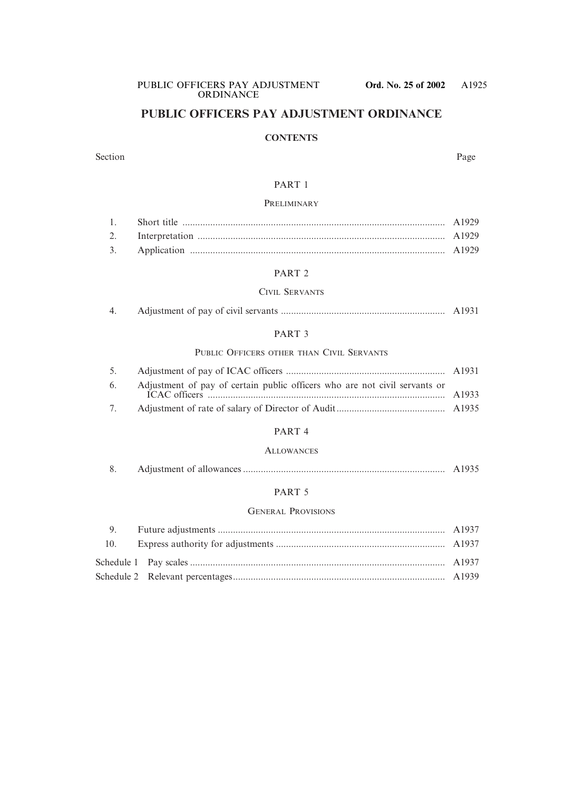# **PUBLIC OFFICERS PAY ADJUSTMENT ORDINANCE**

## **CONTENTS**

#### Section Page

## PART 1

#### **PRELIMINARY**

#### PART 2

## CIVIL SERVANTS

|  |  |  |  |  | A1931 |  |
|--|--|--|--|--|-------|--|
|--|--|--|--|--|-------|--|

## PART 3

## PUBLIC OFFICERS OTHER THAN CIVIL SERVANTS

|   | 6. Adjustment of pay of certain public officers who are not civil servants or |  |
|---|-------------------------------------------------------------------------------|--|
| 7 |                                                                               |  |

#### PART 4

#### **ALLOWANCES**

|  |  | A1935 |
|--|--|-------|
|--|--|-------|

## PART 5

#### GENERAL PROVISIONS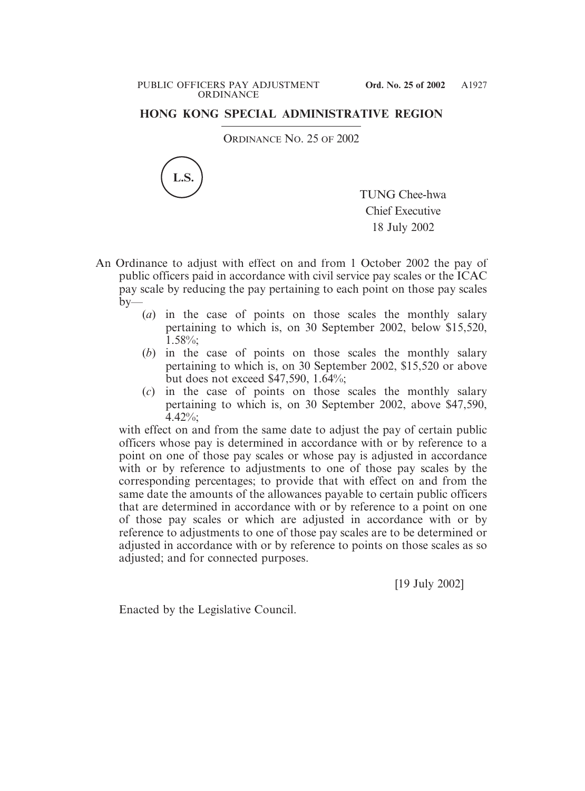#### PUBLIC OFFICERS PAY ADJUSTMENT **Ord. No. 25 of 2002 ORDINANCE**

# **HONG KONG SPECIAL ADMINISTRATIVE REGION**

ORDINANCE NO. 25 OF 2002



TUNG Chee-hwa Chief Executive 18 July 2002

- An Ordinance to adjust with effect on and from 1 October 2002 the pay of public officers paid in accordance with civil service pay scales or the ICAC pay scale by reducing the pay pertaining to each point on those pay scales  $by-$ 
	- (*a*) in the case of points on those scales the monthly salary pertaining to which is, on 30 September 2002, below \$15,520,  $1.58\%$ ;
	- (*b*) in the case of points on those scales the monthly salary pertaining to which is, on 30 September 2002, \$15,520 or above but does not exceed \$47,590, 1.64%;
	- (*c*) in the case of points on those scales the monthly salary pertaining to which is, on 30 September 2002, above \$47,590,  $4.42\%$

with effect on and from the same date to adjust the pay of certain public officers whose pay is determined in accordance with or by reference to a point on one of those pay scales or whose pay is adjusted in accordance with or by reference to adjustments to one of those pay scales by the corresponding percentages; to provide that with effect on and from the same date the amounts of the allowances payable to certain public officers that are determined in accordance with or by reference to a point on one of those pay scales or which are adjusted in accordance with or by reference to adjustments to one of those pay scales are to be determined or adjusted in accordance with or by reference to points on those scales as so adjusted; and for connected purposes.

[19 July 2002]

Enacted by the Legislative Council.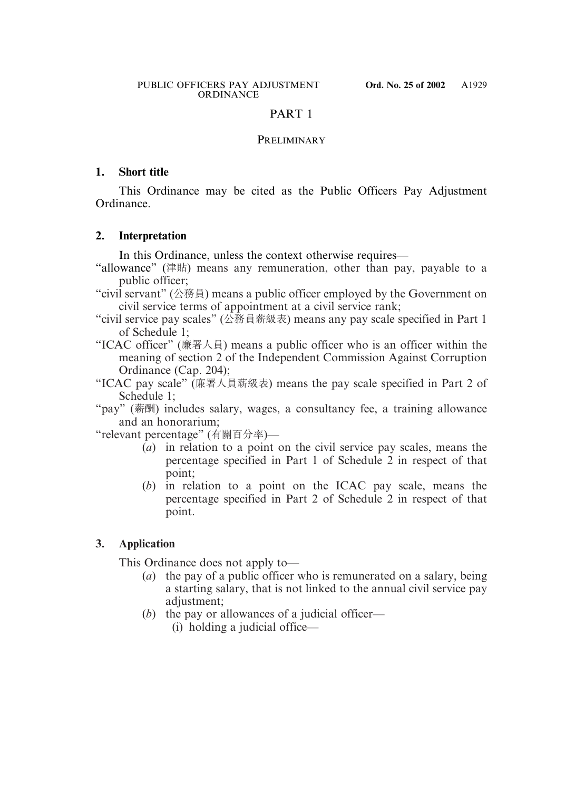# PART 1

# PRELIMINARY

# **1. Short title**

This Ordinance may be cited as the Public Officers Pay Adjustment Ordinance.

# **2. Interpretation**

In this Ordinance, unless the context otherwise requires—

- "allowance" (津貼) means any remuneration, other than pay, payable to a public officer;
- "civil servant" (公務員) means a public officer employed by the Government on civil service terms of appointment at a civil service rank;
- "civil service pay scales" (公務員薪級表) means any pay scale specified in Part 1 of Schedule 1;
- "ICAC officer" (廉署人員) means a public officer who is an officer within the meaning of section 2 of the Independent Commission Against Corruption Ordinance (Cap. 204);
- "ICAC pay scale" (廉署人員薪級表) means the pay scale specified in Part 2 of Schedule 1;

"pay" (薪酬) includes salary, wages, a consultancy fee, a training allowance and an honorarium;

"relevant percentage" (有關百分率)—

- (*a*) in relation to a point on the civil service pay scales, means the percentage specified in Part 1 of Schedule 2 in respect of that point;
- (*b*) in relation to a point on the ICAC pay scale, means the percentage specified in Part 2 of Schedule 2 in respect of that point.

# **3. Application**

This Ordinance does not apply to—

- (*a*) the pay of a public officer who is remunerated on a salary, being a starting salary, that is not linked to the annual civil service pay adjustment:
- (*b*) the pay or allowances of a judicial officer—
	- (i) holding a judicial office—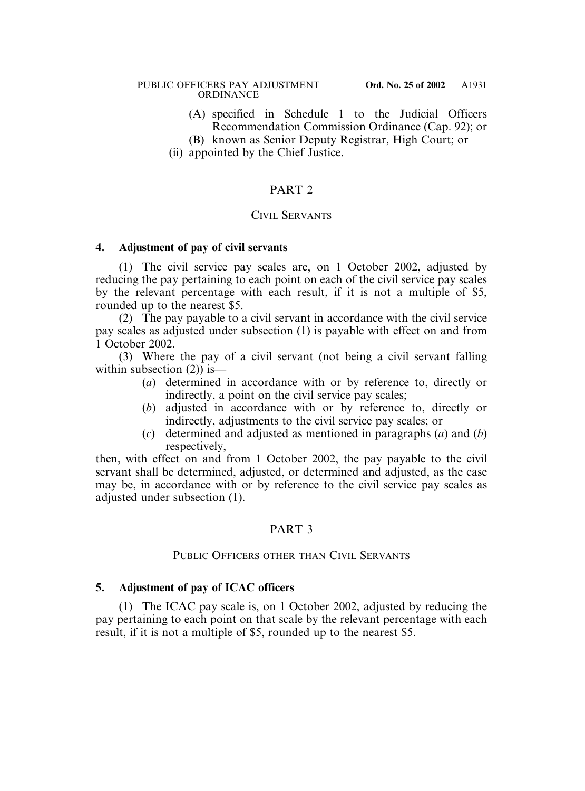#### PUBLIC OFFICERS PAY ADJUSTMENT **Ord. No. 25 of 2002 ORDINANCE**

- (A) specified in Schedule 1 to the Judicial Officers Recommendation Commission Ordinance (Cap. 92); or
- (B) known as Senior Deputy Registrar, High Court; or
- (ii) appointed by the Chief Justice.

# PART<sub>2</sub>

## CIVIL SERVANTS

## **4. Adjustment of pay of civil servants**

(1) The civil service pay scales are, on 1 October 2002, adjusted by reducing the pay pertaining to each point on each of the civil service pay scales by the relevant percentage with each result, if it is not a multiple of \$5, rounded up to the nearest \$5.

(2) The pay payable to a civil servant in accordance with the civil service pay scales as adjusted under subsection (1) is payable with effect on and from 1 October 2002.

(3) Where the pay of a civil servant (not being a civil servant falling within subsection  $(2)$ ) is—

- (*a*) determined in accordance with or by reference to, directly or indirectly, a point on the civil service pay scales;
- (*b*) adjusted in accordance with or by reference to, directly or indirectly, adjustments to the civil service pay scales; or
- (*c*) determined and adjusted as mentioned in paragraphs (*a*) and (*b*) respectively,

then, with effect on and from 1 October 2002, the pay payable to the civil servant shall be determined, adjusted, or determined and adjusted, as the case may be, in accordance with or by reference to the civil service pay scales as adjusted under subsection (1).

# PART 3

## PUBLIC OFFICERS OTHER THAN CIVIL SERVANTS

## **5. Adjustment of pay of ICAC officers**

(1) The ICAC pay scale is, on 1 October 2002, adjusted by reducing the pay pertaining to each point on that scale by the relevant percentage with each result, if it is not a multiple of \$5, rounded up to the nearest \$5.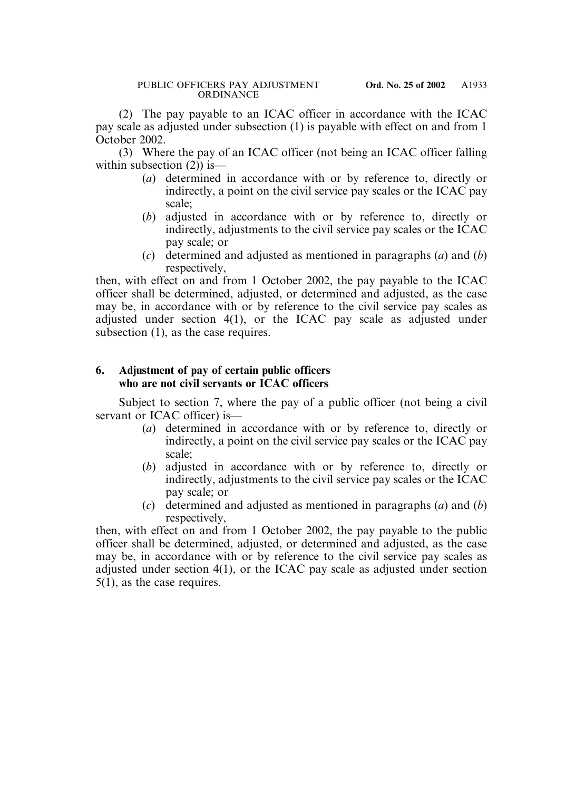(2) The pay payable to an ICAC officer in accordance with the ICAC pay scale as adjusted under subsection (1) is payable with effect on and from 1 October 2002.

(3) Where the pay of an ICAC officer (not being an ICAC officer falling within subsection  $(2)$ ) is—

- (*a*) determined in accordance with or by reference to, directly or indirectly, a point on the civil service pay scales or the ICAC pay scale;
- (*b*) adjusted in accordance with or by reference to, directly or indirectly, adjustments to the civil service pay scales or the ICAC pay scale; or
- (*c*) determined and adjusted as mentioned in paragraphs (*a*) and (*b*) respectively.

then, with effect on and from 1 October 2002, the pay payable to the ICAC officer shall be determined, adjusted, or determined and adjusted, as the case may be, in accordance with or by reference to the civil service pay scales as adjusted under section 4(1), or the ICAC pay scale as adjusted under subsection (1), as the case requires.

# **6. Adjustment of pay of certain public officers who are not civil servants or ICAC officers**

Subject to section 7, where the pay of a public officer (not being a civil servant or ICAC officer) is—

- (*a*) determined in accordance with or by reference to, directly or indirectly, a point on the civil service pay scales or the ICAC pay scale;
- (*b*) adjusted in accordance with or by reference to, directly or indirectly, adjustments to the civil service pay scales or the ICAC pay scale; or
- (*c*) determined and adjusted as mentioned in paragraphs (*a*) and (*b*) respectively,

then, with effect on and from 1 October 2002, the pay payable to the public officer shall be determined, adjusted, or determined and adjusted, as the case may be, in accordance with or by reference to the civil service pay scales as adjusted under section 4(1), or the ICAC pay scale as adjusted under section 5(1), as the case requires.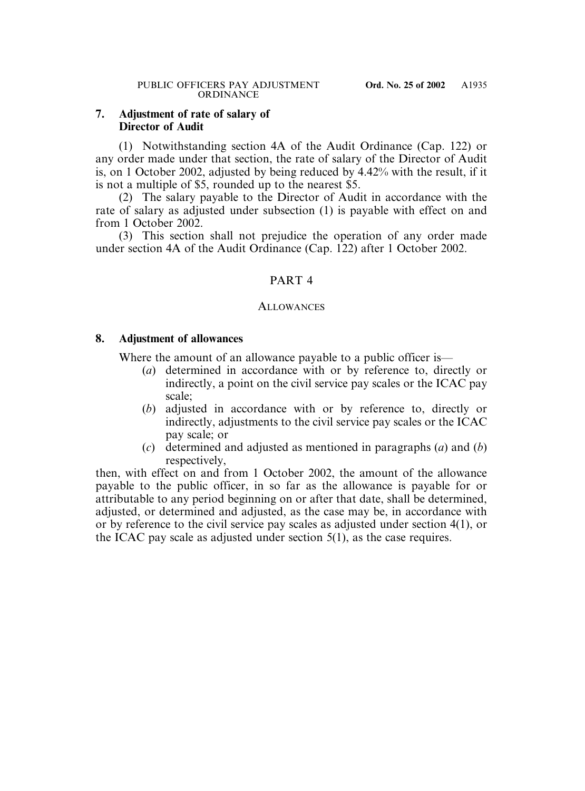# **7. Adjustment of rate of salary of Director of Audit**

(1) Notwithstanding section 4A of the Audit Ordinance (Cap. 122) or any order made under that section, the rate of salary of the Director of Audit is, on 1 October 2002, adjusted by being reduced by 4.42% with the result, if it is not a multiple of \$5, rounded up to the nearest \$5.

(2) The salary payable to the Director of Audit in accordance with the rate of salary as adjusted under subsection (1) is payable with effect on and from 1 October 2002.

(3) This section shall not prejudice the operation of any order made under section 4A of the Audit Ordinance (Cap. 122) after 1 October 2002.

# PART 4

## **ALLOWANCES**

# **8. Adjustment of allowances**

Where the amount of an allowance payable to a public officer is—

- (*a*) determined in accordance with or by reference to, directly or indirectly, a point on the civil service pay scales or the ICAC pay scale;
- (*b*) adjusted in accordance with or by reference to, directly or indirectly, adjustments to the civil service pay scales or the ICAC pay scale; or
- (*c*) determined and adjusted as mentioned in paragraphs (*a*) and (*b*) respectively,

then, with effect on and from 1 October 2002, the amount of the allowance payable to the public officer, in so far as the allowance is payable for or attributable to any period beginning on or after that date, shall be determined, adjusted, or determined and adjusted, as the case may be, in accordance with or by reference to the civil service pay scales as adjusted under section 4(1), or the ICAC pay scale as adjusted under section 5(1), as the case requires.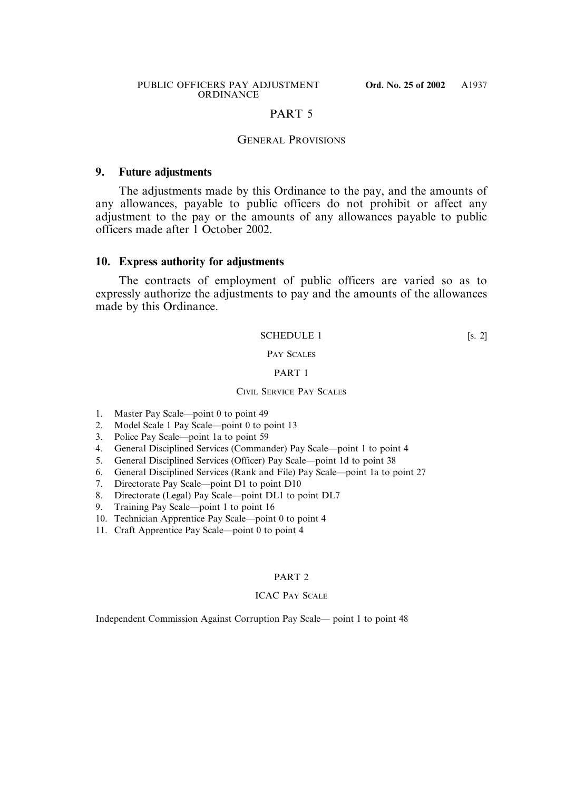## PART 5

## GENERAL PROVISIONS

### **9. Future adjustments**

The adjustments made by this Ordinance to the pay, and the amounts of any allowances, payable to public officers do not prohibit or affect any adjustment to the pay or the amounts of any allowances payable to public officers made after 1 October 2002.

### **10. Express authority for adjustments**

The contracts of employment of public officers are varied so as to expressly authorize the adjustments to pay and the amounts of the allowances made by this Ordinance.

#### SCHEDULE 1 [s. 2]

### PAY SCALES

#### PART 1

#### CIVIL SERVICE PAY SCALES

- 1. Master Pay Scale—point 0 to point 49
- 2. Model Scale 1 Pay Scale—point 0 to point 13
- 3. Police Pay Scale—point 1a to point 59
- 4. General Disciplined Services (Commander) Pay Scale—point 1 to point 4
- 5. General Disciplined Services (Officer) Pay Scale—point 1d to point 38
- 6. General Disciplined Services (Rank and File) Pay Scale—point 1a to point 27
- 7. Directorate Pay Scale—point D1 to point D10
- 8. Directorate (Legal) Pay Scale—point DL1 to point DL7
- 9. Training Pay Scale—point 1 to point 16
- 10. Technician Apprentice Pay Scale—point 0 to point 4
- 11. Craft Apprentice Pay Scale—point 0 to point 4

### PART 2

#### ICAC PAY SCALE

Independent Commission Against Corruption Pay Scale— point 1 to point 48